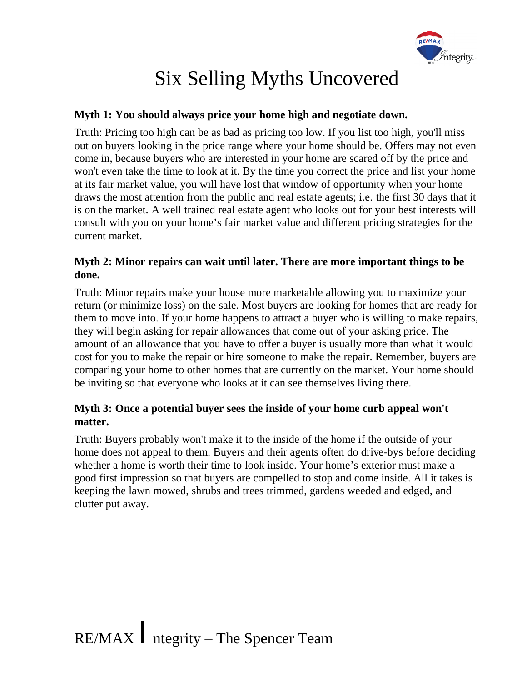

# Six Selling Myths Uncovered

#### **Myth 1: You should always price your home high and negotiate down.**

Truth: Pricing too high can be as bad as pricing too low. If you list too high, you'll miss out on buyers looking in the price range where your home should be. Offers may not even come in, because buyers who are interested in your home are scared off by the price and won't even take the time to look at it. By the time you correct the price and list your home at its fair market value, you will have lost that window of opportunity when your home draws the most attention from the public and real estate agents; i.e. the first 30 days that it is on the market. A well trained real estate agent who looks out for your best interests will consult with you on your home's fair market value and different pricing strategies for the current market.

#### **Myth 2: Minor repairs can wait until later. There are more important things to be done.**

Truth: Minor repairs make your house more marketable allowing you to maximize your return (or minimize loss) on the sale. Most buyers are looking for homes that are ready for them to move into. If your home happens to attract a buyer who is willing to make repairs, they will begin asking for repair allowances that come out of your asking price. The amount of an allowance that you have to offer a buyer is usually more than what it would cost for you to make the repair or hire someone to make the repair. Remember, buyers are comparing your home to other homes that are currently on the market. Your home should be inviting so that everyone who looks at it can see themselves living there.

### **Myth 3: Once a potential buyer sees the inside of your home curb appeal won't matter.**

Truth: Buyers probably won't make it to the inside of the home if the outside of your home does not appeal to them. Buyers and their agents often do drive-bys before deciding whether a home is worth their time to look inside. Your home's exterior must make a good first impression so that buyers are compelled to stop and come inside. All it takes is keeping the lawn mowed, shrubs and trees trimmed, gardens weeded and edged, and clutter put away.

RE/MAX /ntegrity – The Spencer Team